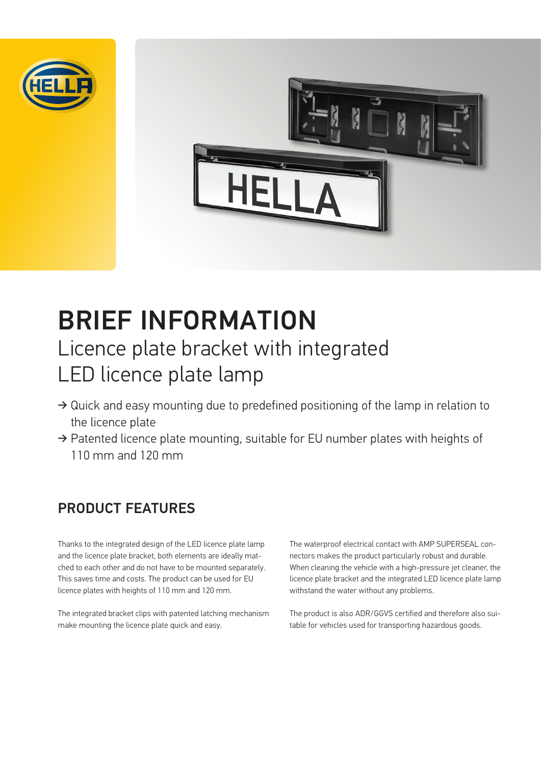



# BRIEF INFORMATION Licence plate bracket with integrated LED licence plate lamp

- ➔ Quick and easy mounting due to predefined positioning of the lamp in relation to the licence plate
- ➔ Patented licence plate mounting, suitable for EU number plates with heights of 110 mm and 120 mm

### PRODUCT FEATURES

Thanks to the integrated design of the LED licence plate lamp and the licence plate bracket, both elements are ideally matched to each other and do not have to be mounted separately. This saves time and costs. The product can be used for EU licence plates with heights of 110 mm and 120 mm.

The integrated bracket clips with patented latching mechanism make mounting the licence plate quick and easy.

The waterproof electrical contact with AMP SUPERSEAL connectors makes the product particularly robust and durable. When cleaning the vehicle with a high-pressure jet cleaner, the licence plate bracket and the integrated LED licence plate lamp withstand the water without any problems.

The product is also ADR/GGVS certified and therefore also suitable for vehicles used for transporting hazardous goods.